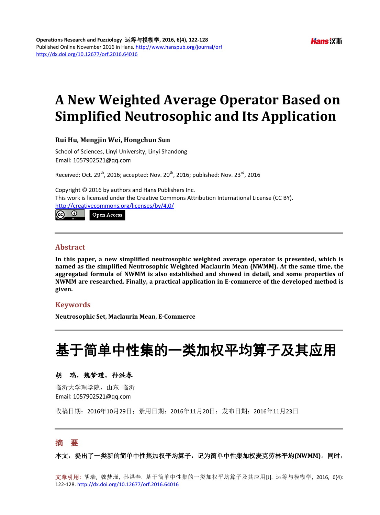# **A New Weighted Average Operator Based on Simplified Neutrosophic and Its Application**

#### **Rui Hu, Mengjin Wei, Hongchun Sun**

Access

School of Sciences, Linyi University, Linyi Shandong Email: 1057902521@qq.com

Received: Oct.  $29^{th}$ , 2016; accepted: Nov.  $20^{th}$ , 2016; published: Nov.  $23^{rd}$ , 2016

Copyright © 2016 by authors and Hans Publishers Inc. This work is licensed under the Creative Commons Attribution International License (CC BY). <http://creativecommons.org/licenses/by/4.0/>

# **Abstract**

**In this paper, a new simplified neutrosophic weighted average operator is presented, which is named as the simplified Neutrosophic Weighted Maclaurin Mean (NWMM). At the same time, the aggregated formula of NWMM is also established and showed in detail, and some properties of NWMM are researched. Finally, a practical application in E-commerce of the developed method is given.**

# **Keywords**

**Neutrosophic Set, Maclaurin Mean, E-Commerce**

# 基于简单中性集的一类加权平均算子及其应用

# 胡瑞,魏梦瑾,孙洪春

临沂大学理学院,山东 临沂 Email: 1057902521@qq.com

收稿日期:2016年10月29日;录用日期:2016年11月20日;发布日期:2016年11月23日

# 摘 要

本文,提出了一类新的简单中性集加权平均算子,记为简单中性集加权麦克劳林平均**(NWMM)**。同时,

文章引用**:** 胡瑞, 魏梦瑾, 孙洪春. 基于简单中性集的一类加权平均算子及其应用[J]. 运筹与模糊学, 2016, 6(4): 122-128. <http://dx.doi.org/10.12677/orf.2016.64016>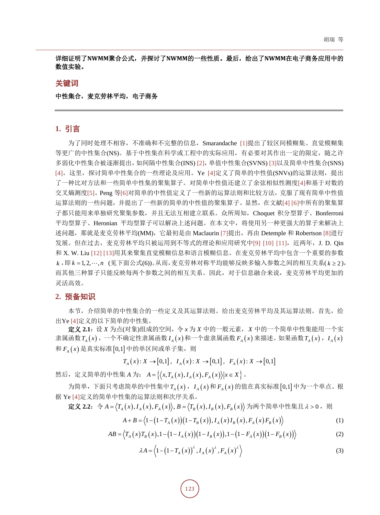# 详细证明了**NWMM**聚合公式,并探讨了**NWMM**的一些性质。最后,给出了**NWMM**在电子商务应用中的 数值实验。

#### 关键词

#### 中性集合,麦克劳林平均,电子商务

## **1.** 引言

为了同时处理不相容,不准确和不完整的信息,Smarandache [\[1\]](#page-5-0)提出了较区间模糊集、直觉模糊集 等更广的中性集合(NS)。基于中性集在科学或工程中的实际应用,有必要对其作出一定的限定,随之许 多弱化中性集合被逐渐提出,如间隔中性集合(INS) [\[2\]](#page-5-1),单值中性集合(SVNS) [\[3\]](#page-5-2)以及简单中性集合(SNS) [\[4\]](#page-5-3)。这里,探讨简单中性集合的一些理论及应用。Ye [4]定义了简单的中性值(SNVs)的运算法则,提出 了一种比对方法和一些简单中性集的聚集算子。对简单中性值还建立了余弦相似性测度[\[4\]](#page-5-3)和基于对数的 交叉熵测度[\[5\]](#page-5-4)。Peng 等[\[6\]](#page-5-5)对简单的中性值定义了一些新的运算法则和比较方法,克服了现有简单中性值 运算法则的一些问题,并提出了一些新的简单的中性值的聚集算子。显然,在文献[\[4\]](#page-5-3) [\[6\]](#page-5-5)中所有的聚集算 子都只能用来单独研究聚集参数,并且无法互相建立联系。众所周知,Choquet 积分型算子、Bonferroni 平均型算子、Heronian 平均型算子可以解决上述问题。在本文中,将使用另一种更强大的算子来解决上 述问题,那就是麦克劳林平均(MM),它最初是由 Maclaurin [\[7\]](#page-5-6)提出,再由 Detemple 和 Robertson [\[8\]](#page-5-7)进行 发展。但在过去,麦克劳林平均只被运用到不等式的理论和应用研究中[\[9\]](#page-5-8) [\[10\]](#page-5-9) [\[11\]](#page-5-10),近两年, J. D. Qin 和 X. W. Liu [\[12\]](#page-5-11) [\[13\]](#page-6-0)用其来聚集直觉模糊信息和语言模糊信息。在麦克劳林平均中包含一个重要的参数 *k* ,即 *k n* = 1, 2, , (见下面公式(6))。从而,麦克劳林对称平均能够反映多输入参数之间的相互关系( *k* ≥ 2 ), 而其他三种算子只能反映每两个参数之间的相互关系。因此,对于信息融合来说,麦克劳林平均更加的 灵活高效。

## **2.** 预备知识

本节, 介绍简单的中性集合的一些定义及其运算法则。给出麦克劳林平均及其运算法则。首先, 给 出Ye [\[4\]](#page-5-3)定义的以下简单的中性集。

定义 **2.1**:设 *X* 为点(对象)组成的空间,令 *x* 为 *X* 中的一般元素,*X* 中的一个简单中性集能用一个实 隶属函数 *T<sub>A</sub>*(*x*), 一个不确定性隶属函数 *I<sub>A</sub>*(*x*)和一个虚隶属函数 *F<sub>A</sub>*(*x*)来描述。如果函数 *T<sub>A</sub>*(*x*), *I<sub>A</sub>*(*x*)  $\overline{A}$   $F_{\overline{A}}(x)$  是真实标准 [0,1] 中的单区间或单子集, 则

$$
T_A(x): X \to [0,1], I_A(x): X \to [0,1], F_A(x): X \to [0,1]
$$

然后, 定义简单的中性集 *A* 为:  $A = \{(x, T_A(x), I_A(x), F_A(x)) | x \in X\}$ 。

 $\frac{1}{2}$  为简单, 下面只考虑简单的中性集中 $T_A(x)$ ,  $I_A(x)$  和 $F_A(x)$  的值在真实标准 [0,1] 中为一个单点。根 据 Ye [\[4\]](#page-5-3)定义的简单中性集的运算法则和次序关系。

$$
\mathcal{L} \mathcal{L} 2.2: \ \ \diamondsuit A = \langle T_A(x), I_A(x), F_A(x) \rangle, B = \langle T_B(x), I_B(x), F_B(x) \rangle \ \forall \exists \overline{m} \ \wedge \overline{m} \ \wedge \mathcal{L} \neq \mathcal{L} \ \mathcal{L} > 0 \ , \ \mathcal{L} \neq 0
$$

$$
A + B = \langle 1 - (1 - T_A(x)) (1 - T_B(x)), I_A(x) I_B(x), F_A(x) F_B(x) \rangle
$$
 (1)

$$
AB = \langle T_A(x)T_B(x), 1 - (1 - I_A(x))(1 - I_B(x)), 1 - (1 - F_A(x))(1 - F_B(x)) \rangle
$$
 (2)

$$
\lambda A = \langle 1 - (1 - T_A(x))^{\lambda}, I_A(x)^{\lambda}, F_A(x)^{\lambda} \rangle
$$
 (3)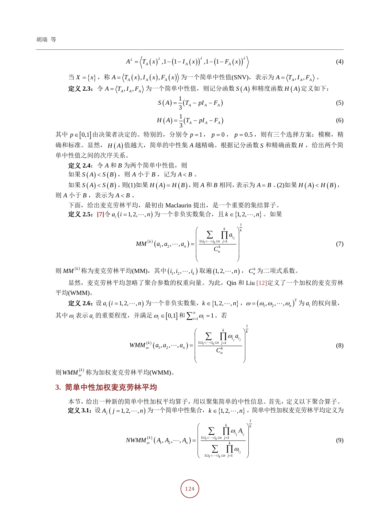$$
A^{\lambda} = \left\langle T_A(x)^{\lambda}, 1 - (1 - I_A(x))^{\lambda}, 1 - (1 - F_A(x))^{\lambda} \right\rangle
$$
 (4)

 $\exists X = \{x\}, \quad \exists X = \{T_A(x), I_A(x), F_A(x)\}\$  为一个简单中性值(SNV), 表示为  $A = \langle T_A, I_A, F_A \rangle$ .  $\hat{\mathcal{R}}$ 义 2.3: 令  $A = \langle T_A, I_A, F_A \rangle$ 为一个简单中性值, 则记分函数  $S(A)$  和精度函数  $H(A)$ 定义如下:

$$
S(A) = \frac{1}{3}(T_A - pI_A - F_A)
$$
\n
$$
H(A) = \frac{1}{3}(T_A - pI_A - F_A)
$$
\n(6)

其中  $p ∈ [0,1]$ 由决策者决定的。特别的, 分别令  $p = 1$ ,  $p = 0$ ,  $p = 0.5$ , 则有三个选择方案: 模糊, 精 确和标准。显然, H(A) 值越大, 简单的中性集 A 越精确。根据记分函数 S 和精确函数 H, 给出两个简 单中性值之间的次序关系。

定义 **2.4**:令 *A* 和 *B* 为两个简单中性值,则

如果  $S(A) < S(B)$ , 则  $A \triangle F B$ , 记为  $A < B$ .

 $\mu \in S(A) < S(B)$ , 则(1)如果  $H(A) = H(B)$ , 则  $A \nleftrightarrow B$  相同, 表示为  $A = B \circ (2)$ 如果  $H(A) < H(B)$ , 则 *A* 小于 *B* , 表示为 *A* < *B* 。

下面,给出麦克劳林平均,最初由 Maclaurin 提出,是一个重要的集结算子。

**定义 2.5**: [\[7\]](#page-5-6)令 *a<sub>i</sub>* (*i* = 1, 2, ⋯, *n*) 为一个非负实数集合, 且 *k* ∈ {1, 2, ⋯, *n*} 。如果

$$
MM^{(k)}(a_1, a_2, \cdots, a_n) = \left(\frac{\sum_{1 \le i_1 < \cdots < i_k \le n} \prod_{j=1}^k a_{i_j}}{C_n^k}\right)^{\frac{1}{k}}
$$
(7)

则 *MM*<sup>(k)</sup> 称为麦克劳林平均(MM), 其中(*i*<sub>1</sub>,*i*<sub>2</sub>,..,*i*<sub>k</sub>) 取遍(1,2,..,*n*), *c*<sup>k</sup> 为二项式系数。

显然,麦克劳林平均忽略了聚合参数的权重向量。为此, Qin 和 Liu [\[12\]](#page-5-11)定义了一个加权的麦克劳林 平均(WMM)。

**定义 2.6:** 设 a<sub>i</sub>(i = 1, 2,…, n) 为一个非负实数集, k ∈ {1, 2,…, n}, ω = (ω<sub>1</sub>,ω<sub>2</sub>,…,ω<sub>n</sub>) <sup>™</sup> 为 a<sub>i</sub> 的权向量, 其中 $\omega_i$ 表示 $a_i$ 的重要程度,并满足 $\omega_i \in [0,1]$ 和 $\sum_{i=1}^n \omega_i = 1$ 。若

$$
WMM_{\omega}^{(k)}(a_1, a_2, \cdots, a_n) = \left(\frac{\sum\limits_{1 \le i_1 < \cdots < i_k \le n} \prod\limits_{j=1}^k \omega_{i_j} a_{i_j}}{C_n^k}\right)^{\frac{1}{k}}
$$
(8)

则 WMM<sup>(k)</sup> 称为加权麦克劳林平均(WMM)。

## **3.** 简单中性加权麦克劳林平均

本节,给出一种新的简单中性加权平均算子,用以聚集简单的中性信息。首先,定义以下聚合算子。 定义 3.1: 设 A<sub>i</sub> ( j = 1, 2, ···, n) 为一个简单中性集合, k ∈ {1, 2, ···, n} 。简单中性加权麦克劳林平均定义为

$$
NWMM_{\omega}^{(k)}(A_{1}, A_{2}, \cdots, A_{n}) = \left(\frac{\sum_{1 \leq i_{1} < \cdots < i_{k} \leq n} \prod_{j=1}^{k} \omega_{i_{j}} A_{i_{j}}}{\sum_{1 \leq i_{1} < \cdots < i_{k} \leq n} \prod_{j=1}^{k} \omega_{i_{j}}}\right)^{\frac{1}{k}}
$$
(9)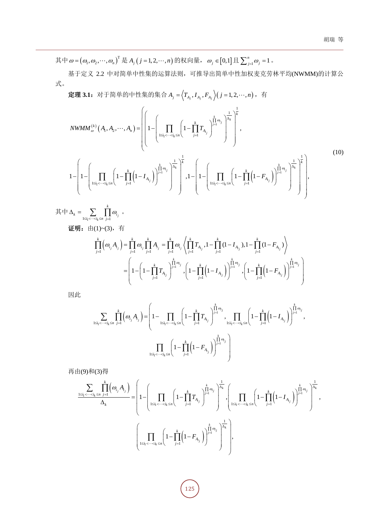其中  $\omega = (\omega_1, \omega_2, \cdots, \omega_n)^T$ 是  $A_j$  (  $j = 1, 2, \cdots, n$ ) 的权向量,  $\omega_j \in [0, 1]$ 且  $\sum_{j=1}^n \omega_j = 1$  。

基于定义 2.2 中对简单中性集的运算法则,可推导出简单中性加权麦克劳林平均(NWMM)的计算公 式。

定理 3.1: 对于简单的中性集的集合  $A_j = \Big\langle T_{A_j}, I_{A_j}, F_{A_j} \Big\rangle (j=1, 2, \cdots, n),$  有

$$
NWMM_{\omega}^{(k)}(A_{1}, A_{2}, \cdots, A_{n}) = \left( \left( 1 - \left( \prod_{1 \leq i_{1} < \cdots < i_{k} \leq n} \left( 1 - \prod_{j=1}^{k} T_{A_{i_{j}}} \right)^{\frac{1}{\Delta_{i}}} \right)^{\frac{1}{\Delta_{k}}} \right)^{\frac{1}{\Delta_{k}}},
$$
\n
$$
1 - \left( 1 - \left( \prod_{1 \leq i_{1} < \cdots < i_{k} \leq n} \left( 1 - \prod_{j=1}^{k} \left( 1 - I_{A_{i_{j}}} \right) \right)^{\frac{1}{\Delta_{i}}} \right)^{\frac{1}{\Delta_{k}}} \right)^{\frac{1}{\Delta_{k}}}, 1 - \left( 1 - \left( \prod_{1 \leq i_{1} < \cdots < i_{k} \leq n} \left( 1 - \prod_{j=1}^{k} \left( 1 - F_{A_{i_{j}}} \right) \right)^{\frac{1}{\Delta_{i}}} \right)^{\frac{1}{\Delta_{k}}}\right)^{\frac{1}{\Delta_{k}}},
$$
\n
$$
(10)
$$

其中  $1 \leq i_1 < \cdots < i_k \leq n$   $j=1$   $i_j$ *k*  $\sum_{1 \leq i_1 < \cdots < i_k \leq n} \prod_{j=1}^k \omega_j$ ω  $\Delta_k = \sum_{1 \leq i_1 < \cdots < i_k \leq n} \prod_{j=1}$  $\ddot{\circ}$ 

证明:由(1)~(3),有

$$
\prod_{j=1}^k \left( \omega_{i_j} A_{i_j} \right) = \prod_{j=1}^k \omega_{i_j} \prod_{j=1}^k A_{i_j} = \prod_{j=1}^k \omega_{i_j} \left\langle \prod_{j=1}^k T_{A_{i_j}}, 1 - \prod_{j=1}^k (1 - I_{A_{i_j}}), 1 - \prod_{j=1}^k (1 - F_{A_{i_j}}) \right\rangle
$$
\n
$$
= \left( 1 - \left( 1 - \prod_{j=1}^k T_{A_{i_j}} \right)^{\prod_{j=1}^k \omega_{i_j}}, \left( 1 - \prod_{j=1}^k \left( 1 - I_{A_{i_j}} \right) \right)^{\prod_{j=1}^k \omega_{i_j}}, \left( 1 - \prod_{j=1}^k \left( 1 - F_{A_{i_j}} \right) \right)^{\prod_{j=1}^k \omega_{i_j}}
$$

因此

$$
\sum_{1\leq i_1<\cdots
$$

再由(9)和(3)得

$$
\frac{\displaystyle\sum_{1\leq i_1<\cdots\n
$$
\left(\prod_{1\leq i_1<\cdots
$$
$$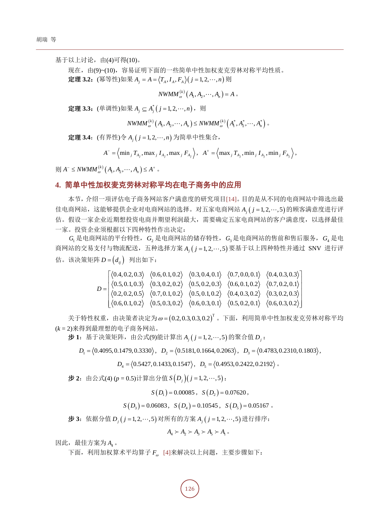基于以上讨论, 由(4)可得(10)。

现在, 由(9)~(10), 容易证明下面的一些简单中性加权麦克劳林对称平均性质。 定理 3.2:  $(\overline{\mathbb{R}} \frac{m}{2}$ 性)如果  $A_i = A = \langle T_A, I_A, F_A \rangle$  ( $j = 1, 2, \dots, n$ ) 则

$$
NWMM_{\omega}^{(k)}(A_1, A_2, \cdots, A_n) = A \; .
$$

定理 3.3: (单调性)如果  $A_i$  ⊆  $A_i^*(j = 1, 2, \dots, n)$ , 则

$$
NWMM_{\omega}^{(k)}(A_1, A_2, \cdots, A_n) \le NWMM_{\omega}^{(k)}(A_1^*, A_2^*, \cdots, A_n^*)
$$

定理 **3.4**:(有界性)令 *Aj n <sup>j</sup>* ( = 1, 2, , ) 为简单中性集合,

$$
A^{-} = \left\langle \min_{j} T_{A_{j}}, \max_{j} I_{A_{j}}, \max_{j} F_{A_{j}} \right\rangle, \ \ A^{+} = \left\langle \max_{j} T_{A_{j}}, \min_{j} I_{A_{j}}, \min_{j} F_{A_{j}} \right\rangle,
$$

 $\int \int \int A^{-}$  ≤  $NWMM_{\omega}^{(k)}(A_{1}, A_{2},..., A_{n})$  ≤  $A^{+}$  .

# **4.** 简单中性加权麦克劳林对称平均在电子商务中的应用

本节,介绍一项评估电子商务网站客户满意度的研究项目[\[14\]](#page-6-1)。目的是从不同的电商网站中筛选出最 佳电商网站,这能够提供企业对电商网站的选择。对五家电商网站 A ( j = 1, 2, ... , 5) 的顾客满意度进行评 估。假设一家企业近期想投资电商并期望利润最大,需要确定五家电商网站的客户满意度,以选择最佳 一家。投资企业须根据以下四种特性作出决定:

*G*<sup>1</sup> 是电商网站的平台特性,*G*<sup>2</sup> 是电商网站的储存特性,*G*3是电商网站的售前和售后服务,*G*<sup>4</sup> 是电 商网站的交易支付与物流配送,五种选择方案 A<sub>i</sub> ( j = 1, 2, ···, 5) 要基于以上四种特性并通过 SNV 进行评 估。该决策矩阵 $D = (d_{ii})$ 列出如下:

$$
D = \begin{bmatrix} \langle 0.4, 0.2, 0.3 \rangle & \langle 0.6, 0.1, 0.2 \rangle & \langle 0.3, 0.4, 0.1 \rangle & \langle 0.7, 0.0, 0.1 \rangle & \langle 0.4, 0.3, 0.3 \rangle \\ \langle 0.5, 0.1, 0.3 \rangle & \langle 0.3, 0.2, 0.2 \rangle & \langle 0.5, 0.2, 0.3 \rangle & \langle 0.6, 0.1, 0.2 \rangle & \langle 0.7, 0.2, 0.1 \rangle \\ \langle 0.2, 0.2, 0.5 \rangle & \langle 0.7, 0.1, 0.2 \rangle & \langle 0.5, 0.1, 0.2 \rangle & \langle 0.4, 0.3, 0.2 \rangle & \langle 0.3, 0.2, 0.3 \rangle \\ \langle 0.6, 0.1, 0.2 \rangle & \langle 0.5, 0.3, 0.2 \rangle & \langle 0.6, 0.3, 0.1 \rangle & \langle 0.5, 0.2, 0.1 \rangle & \langle 0.6, 0.3, 0.2 \rangle \end{bmatrix}
$$

关于特性权重,由决策者决定为ω=(0.2,0.3,0.3,0.2)<sup>T</sup> 。下面,利用简单中性加权麦克劳林对称平均 (*k* = 2)来得到最理想的电子商务网站。

步 1: 基于决策矩阵, 由公式(9)能计算出  $A_i$  ( $j = 1, 2, \dots, 5$ ) 的聚合值  $D_i$ :

 $D_1 = \langle 0.4095, 0.1479, 0.3330 \rangle$ ,  $D_2 = \langle 0.5181, 0.1664, 0.2063 \rangle$ ,  $D_3 = \langle 0.4783, 0.2310, 0.1803 \rangle$ ,

 $D_4 = \langle 0.5427, 0.1433, 0.1547 \rangle$ ,  $D_5 = \langle 0.4953, 0.2422, 0.2192 \rangle$ .

 $\bigoplus$  2: 由公式(4) ( $p = 0.5$ )计算出分值  $S(D_i)(j = 1, 2, \dots, 5)$ :

 $S(D_1) = 0.00085$ ,  $S(D_2) = 0.07620$ ,

 $S(D_3) = 0.06083$ ,  $S(D_4) = 0.10545$ ,  $S(D_5) = 0.05167$ .

步 **3**:依据分值 *D j <sup>j</sup>* ( = 1, 2, ,5 ) 对所有的方案 *A j <sup>j</sup>* ( = 1, 2, ,5 ) 进行排序:

 $A_4 \succ A_2 \succ A_3 \succ A_5 \succ A_1$ 

因此,最佳方案为 A<sub>4</sub>。

下面,利用加权算术平均算子 *F*<sup>ω</sup> [\[4\]](#page-5-3)来解决以上问题,主要步骤如下: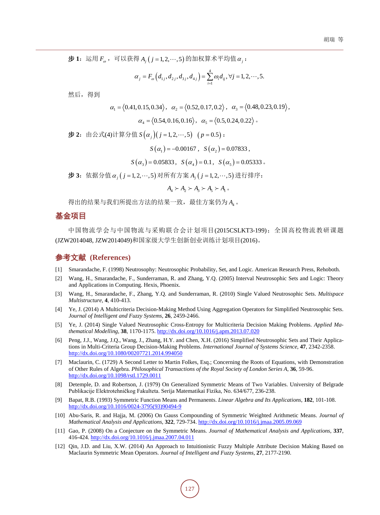$\bigoplus$  1: 运用  $F_{\omega}$ , 可以获得  $A_i$  ( $j = 1, 2, \cdots, 5$ ) 的加权算术平均值 α ;

$$
\alpha_j = F_{\omega}\left(d_{1j}, d_{2j}, d_{3j}, d_{4j}\right) = \sum_{i=1}^4 \omega_i d_{ij}, \forall j = 1, 2, \cdots, 5.
$$

然后,得到

$$
\alpha_1 = \langle 0.41, 0.15, 0.34 \rangle
$$
,  $\alpha_2 = \langle 0.52, 0.17, 0.2 \rangle$ ,  $\alpha_3 = \langle 0.48, 0.23, 0.19 \rangle$ ,  
 $\alpha_4 = \langle 0.54, 0.16, 0.16 \rangle$ ,  $\alpha_5 = \langle 0.5, 0.24, 0.22 \rangle$ .

 $\frac{1}{2}$ : 由公式(4)计算分值  $S(\alpha_i)(j=1, 2, \dots, 5)$  ( $p=0.5$ ):

$$
S(\alpha_1) = -0.00167
$$
,  $S(\alpha_2) = 0.07833$ ,

$$
S(\alpha_3) = 0.05833
$$
,  $S(\alpha_4) = 0.1$ ,  $S(\alpha_5) = 0.05333$ .

步 **3**:依据分值<sup>α</sup> *<sup>j</sup>* ( *j* = 1, 2, ,5 ) 对所有方案 *A j <sup>j</sup>* ( = 1, 2, ,5 ) 进行排序:

$$
A_4 \succ A_2 \succ A_3 \succ A_5 \succ A_1 \circ
$$

得出的结果与我们所提出方法的结果一致,最佳方案仍为 A<sub>4</sub>。

# 基金项目

中国物流学会与中国物流与采购联合会计划项目(2015CSLKT3-199);全国高校物流教研课题 (JZW2014048, JZW2014049)和国家级大学生创新创业训练计划项目(2016)。

# 参考文献 **(References)**

- <span id="page-5-0"></span>[1] Smarandache, F. (1998) Neutrosophy: Neutrosophic Probability, Set, and Logic. American Research Press, Rehoboth.
- <span id="page-5-1"></span>[2] Wang, H., Smarandache, F., Sunderraman, R. and Zhang, Y.Q. (2005) Interval Neutrosophic Sets and Logic: Theory and Applications in Computing. Hexis, Phoenix.
- <span id="page-5-2"></span>[3] Wang, H., Smarandache, F., Zhang, Y.Q. and Sunderraman, R. (2010) Single Valued Neutrosophic Sets. *Multispace Multistructure*, **4**, 410-413.
- <span id="page-5-3"></span>[4] Ye, J. (2014) A Multicriteria Decision-Making Method Using Aggregation Operators for Simplified Neutrosophic Sets. *Journal of Intelligent and Fuzzy Systems*, **26**, 2459-2466.
- <span id="page-5-4"></span>[5] Ye, J. (2014) Single Valued Neutrosophic Cross-Entropy for Multicriteria Decision Making Problems. *Applied Mathematical Modelling*, **38**, 1170-1175. <http://dx.doi.org/10.1016/j.apm.2013.07.020>
- <span id="page-5-5"></span>[6] Peng, J.J., Wang, J.Q., Wang, J., Zhang, H.Y. and Chen, X.H. (2016) Simplified Neutrosophic Sets and Their Applications in Multi-Criteria Group Decision-Making Problems. *International Journal of Systems Science*, **47**, 2342-2358. <http://dx.doi.org/10.1080/00207721.2014.994050>
- <span id="page-5-6"></span>[7] Maclaurin, C. (1729) A Second Letter to Martin Folkes, Esq.; Concerning the Roots of Equations, with Demonstration of Other Rules of Algebra. *Philosophical Transactions of the Royal Society of London Series A*, **36**, 59-96. <http://dx.doi.org/10.1098/rstl.1729.0011>
- <span id="page-5-7"></span>[8] Detemple, D. and Robertson, J. (1979) On Generalized Symmetric Means of Two Variables. University of Belgrade Publikacije Elektrotehničkog Fakulteta. Serija Matematikai Fizika, No. 634/677, 236-238.
- <span id="page-5-8"></span>[9] Bapat, R.B. (1993) Symmetric Function Means and Permanents. *Linear Algebra and Its Applications*, **182**, 101-108. [http://dx.doi.org/10.1016/0024-3795\(93\)90494-9](http://dx.doi.org/10.1016/0024-3795(93)90494-9)
- <span id="page-5-9"></span>[10] Abu-Saris, R. and Hajja, M. (2006) On Gauss Compounding of Symmetric Weighted Arithmetic Means. *Journal of Mathematical Analysis and Applications*, **322**, 729-734. <http://dx.doi.org/10.1016/j.jmaa.2005.09.069>
- <span id="page-5-10"></span>[11] Gao, P. (2008) On a Conjecture on the Symmetric Means. *Journal of Mathematical Analysis and Applications*, **337**, 416-424. <http://dx.doi.org/10.1016/j.jmaa.2007.04.011>
- <span id="page-5-11"></span>[12] Oin, J.D. and Liu, X.W. (2014) An Approach to Intuitionistic Fuzzy Multiple Attribute Decision Making Based on Maclaurin Symmetric Mean Operators. *Journal of Intelligent and Fuzzy Systems*, **27**, 2177-2190.